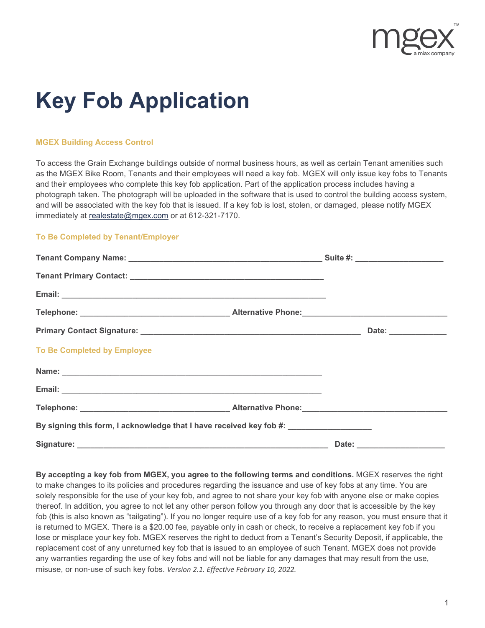

# **Key Fob Application**

### **MGEX Building Access Control**

To access the Grain Exchange buildings outside of normal business hours, as well as certain Tenant amenities such as the MGEX Bike Room, Tenants and their employees will need a key fob. MGEX will only issue key fobs to Tenants and their employees who complete this key fob application. Part of the application process includes having a photograph taken. The photograph will be uploaded in the software that is used to control the building access system, and will be associated with the key fob that is issued. If a key fob is lost, stolen, or damaged, please notify MGEX immediately at [realestate@mgex.com](mailto:realestate@mgex.com) or at 612-321-7170.

#### **To Be Completed by Tenant/Employer**

| <b>To Be Completed by Employee</b>                                                |  |  |
|-----------------------------------------------------------------------------------|--|--|
|                                                                                   |  |  |
|                                                                                   |  |  |
|                                                                                   |  |  |
| By signing this form, I acknowledge that I have received key fob #: _____________ |  |  |
|                                                                                   |  |  |

**By accepting a key fob from MGEX, you agree to the following terms and conditions.** MGEX reserves the right to make changes to its policies and procedures regarding the issuance and use of key fobs at any time. You are solely responsible for the use of your key fob, and agree to not share your key fob with anyone else or make copies thereof. In addition, you agree to not let any other person follow you through any door that is accessible by the key fob (this is also known as "tailgating"). If you no longer require use of a key fob for any reason, you must ensure that it is returned to MGEX. There is a \$20.00 fee, payable only in cash or check, to receive a replacement key fob if you lose or misplace your key fob. MGEX reserves the right to deduct from a Tenant's Security Deposit, if applicable, the replacement cost of any unreturned key fob that is issued to an employee of such Tenant. MGEX does not provide any warranties regarding the use of key fobs and will not be liable for any damages that may result from the use, misuse, or non-use of such key fobs. *Version 2.1. Effective February 10, 2022.*